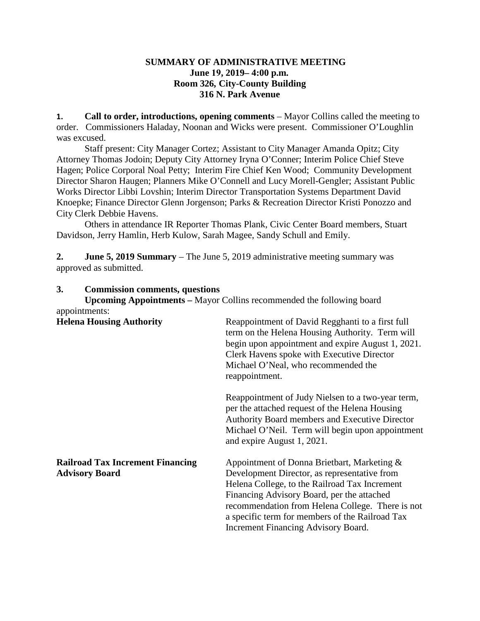### **SUMMARY OF ADMINISTRATIVE MEETING June 19, 2019– 4:00 p.m. Room 326, City-County Building 316 N. Park Avenue**

**1. Call to order, introductions, opening comments** – Mayor Collins called the meeting to order. Commissioners Haladay, Noonan and Wicks were present. Commissioner O'Loughlin was excused.

Staff present: City Manager Cortez; Assistant to City Manager Amanda Opitz; City Attorney Thomas Jodoin; Deputy City Attorney Iryna O'Conner; Interim Police Chief Steve Hagen; Police Corporal Noal Petty; Interim Fire Chief Ken Wood; Community Development Director Sharon Haugen; Planners Mike O'Connell and Lucy Morell-Gengler; Assistant Public Works Director Libbi Lovshin; Interim Director Transportation Systems Department David Knoepke; Finance Director Glenn Jorgenson; Parks & Recreation Director Kristi Ponozzo and City Clerk Debbie Havens.

Others in attendance IR Reporter Thomas Plank, Civic Center Board members, Stuart Davidson, Jerry Hamlin, Herb Kulow, Sarah Magee, Sandy Schull and Emily.

**2. June 5, 2019 Summary** – The June 5, 2019 administrative meeting summary was approved as submitted.

### **3. Commission comments, questions**

| appointments:                                                    | <b>Upcoming Appointments – Mayor Collins recommended the following board</b>                                                                                                                                                                                                                                                             |
|------------------------------------------------------------------|------------------------------------------------------------------------------------------------------------------------------------------------------------------------------------------------------------------------------------------------------------------------------------------------------------------------------------------|
| <b>Helena Housing Authority</b>                                  | Reappointment of David Regghanti to a first full<br>term on the Helena Housing Authority. Term will<br>begin upon appointment and expire August 1, 2021.<br>Clerk Havens spoke with Executive Director<br>Michael O'Neal, who recommended the<br>reappointment.                                                                          |
|                                                                  | Reappointment of Judy Nielsen to a two-year term,<br>per the attached request of the Helena Housing<br>Authority Board members and Executive Director<br>Michael O'Neil. Term will begin upon appointment<br>and expire August 1, 2021.                                                                                                  |
| <b>Railroad Tax Increment Financing</b><br><b>Advisory Board</b> | Appointment of Donna Brietbart, Marketing &<br>Development Director, as representative from<br>Helena College, to the Railroad Tax Increment<br>Financing Advisory Board, per the attached<br>recommendation from Helena College. There is not<br>a specific term for members of the Railroad Tax<br>Increment Financing Advisory Board. |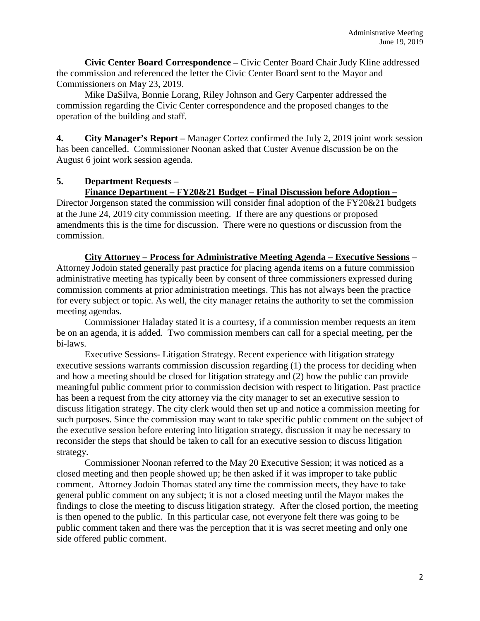**Civic Center Board Correspondence –** Civic Center Board Chair Judy Kline addressed the commission and referenced the letter the Civic Center Board sent to the Mayor and Commissioners on May 23, 2019.

Mike DaSilva, Bonnie Lorang, Riley Johnson and Gery Carpenter addressed the commission regarding the Civic Center correspondence and the proposed changes to the operation of the building and staff.

**4. City Manager's Report –** Manager Cortez confirmed the July 2, 2019 joint work session has been cancelled. Commissioner Noonan asked that Custer Avenue discussion be on the August 6 joint work session agenda.

### **5. Department Requests –**

# **Finance Department – FY20&21 Budget – Final Discussion before Adoption –**

Director Jorgenson stated the commission will consider final adoption of the FY20&21 budgets at the June 24, 2019 city commission meeting. If there are any questions or proposed amendments this is the time for discussion. There were no questions or discussion from the commission.

**City Attorney – Process for Administrative Meeting Agenda – Executive Sessions** – Attorney Jodoin stated generally past practice for placing agenda items on a future commission administrative meeting has typically been by consent of three commissioners expressed during commission comments at prior administration meetings. This has not always been the practice for every subject or topic. As well, the city manager retains the authority to set the commission meeting agendas.

Commissioner Haladay stated it is a courtesy, if a commission member requests an item be on an agenda, it is added. Two commission members can call for a special meeting, per the bi-laws.

Executive Sessions- Litigation Strategy. Recent experience with litigation strategy executive sessions warrants commission discussion regarding (1) the process for deciding when and how a meeting should be closed for litigation strategy and (2) how the public can provide meaningful public comment prior to commission decision with respect to litigation. Past practice has been a request from the city attorney via the city manager to set an executive session to discuss litigation strategy. The city clerk would then set up and notice a commission meeting for such purposes. Since the commission may want to take specific public comment on the subject of the executive session before entering into litigation strategy, discussion it may be necessary to reconsider the steps that should be taken to call for an executive session to discuss litigation strategy.

Commissioner Noonan referred to the May 20 Executive Session; it was noticed as a closed meeting and then people showed up; he then asked if it was improper to take public comment. Attorney Jodoin Thomas stated any time the commission meets, they have to take general public comment on any subject; it is not a closed meeting until the Mayor makes the findings to close the meeting to discuss litigation strategy. After the closed portion, the meeting is then opened to the public. In this particular case, not everyone felt there was going to be public comment taken and there was the perception that it is was secret meeting and only one side offered public comment.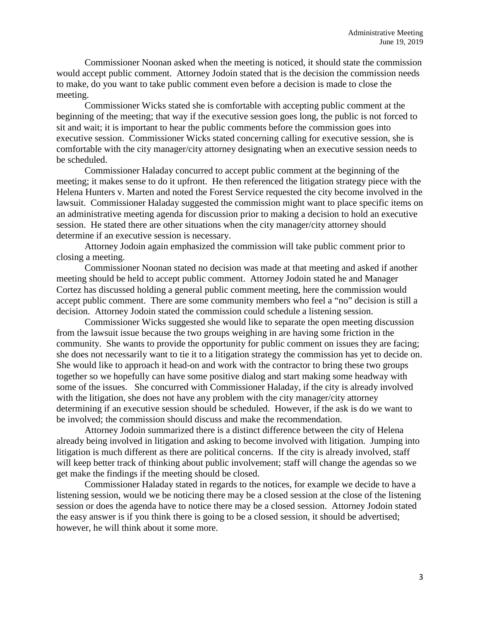Commissioner Noonan asked when the meeting is noticed, it should state the commission would accept public comment. Attorney Jodoin stated that is the decision the commission needs to make, do you want to take public comment even before a decision is made to close the meeting.

Commissioner Wicks stated she is comfortable with accepting public comment at the beginning of the meeting; that way if the executive session goes long, the public is not forced to sit and wait; it is important to hear the public comments before the commission goes into executive session. Commissioner Wicks stated concerning calling for executive session, she is comfortable with the city manager/city attorney designating when an executive session needs to be scheduled.

Commissioner Haladay concurred to accept public comment at the beginning of the meeting; it makes sense to do it upfront. He then referenced the litigation strategy piece with the Helena Hunters v. Marten and noted the Forest Service requested the city become involved in the lawsuit. Commissioner Haladay suggested the commission might want to place specific items on an administrative meeting agenda for discussion prior to making a decision to hold an executive session. He stated there are other situations when the city manager/city attorney should determine if an executive session is necessary.

Attorney Jodoin again emphasized the commission will take public comment prior to closing a meeting.

Commissioner Noonan stated no decision was made at that meeting and asked if another meeting should be held to accept public comment. Attorney Jodoin stated he and Manager Cortez has discussed holding a general public comment meeting, here the commission would accept public comment. There are some community members who feel a "no" decision is still a decision. Attorney Jodoin stated the commission could schedule a listening session.

Commissioner Wicks suggested she would like to separate the open meeting discussion from the lawsuit issue because the two groups weighing in are having some friction in the community. She wants to provide the opportunity for public comment on issues they are facing; she does not necessarily want to tie it to a litigation strategy the commission has yet to decide on. She would like to approach it head-on and work with the contractor to bring these two groups together so we hopefully can have some positive dialog and start making some headway with some of the issues. She concurred with Commissioner Haladay, if the city is already involved with the litigation, she does not have any problem with the city manager/city attorney determining if an executive session should be scheduled. However, if the ask is do we want to be involved; the commission should discuss and make the recommendation.

Attorney Jodoin summarized there is a distinct difference between the city of Helena already being involved in litigation and asking to become involved with litigation. Jumping into litigation is much different as there are political concerns. If the city is already involved, staff will keep better track of thinking about public involvement; staff will change the agendas so we get make the findings if the meeting should be closed.

Commissioner Haladay stated in regards to the notices, for example we decide to have a listening session, would we be noticing there may be a closed session at the close of the listening session or does the agenda have to notice there may be a closed session. Attorney Jodoin stated the easy answer is if you think there is going to be a closed session, it should be advertised; however, he will think about it some more.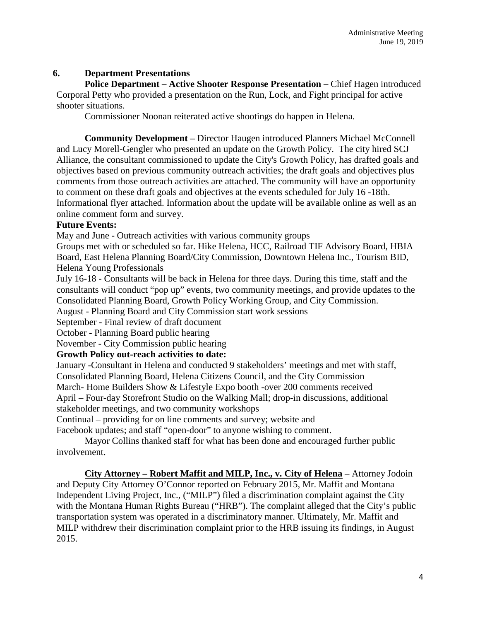# **6. Department Presentations**

**Police Department – Active Shooter Response Presentation –** Chief Hagen introduced Corporal Petty who provided a presentation on the Run, Lock, and Fight principal for active shooter situations.

Commissioner Noonan reiterated active shootings do happen in Helena.

**Community Development –** Director Haugen introduced Planners Michael McConnell and Lucy Morell-Gengler who presented an update on the Growth Policy. The city hired SCJ Alliance, the consultant commissioned to update the City's Growth Policy, has drafted goals and objectives based on previous community outreach activities; the draft goals and objectives plus comments from those outreach activities are attached. The community will have an opportunity to comment on these draft goals and objectives at the events scheduled for July 16 -18th. Informational flyer attached. Information about the update will be available online as well as an online comment form and survey.

# **Future Events:**

May and June - Outreach activities with various community groups

Groups met with or scheduled so far. Hike Helena, HCC, Railroad TIF Advisory Board, HBIA Board, East Helena Planning Board/City Commission, Downtown Helena Inc., Tourism BID, Helena Young Professionals

July 16-18 - Consultants will be back in Helena for three days. During this time, staff and the consultants will conduct "pop up" events, two community meetings, and provide updates to the Consolidated Planning Board, Growth Policy Working Group, and City Commission.

August - Planning Board and City Commission start work sessions

September - Final review of draft document

October - Planning Board public hearing

November - City Commission public hearing

# **Growth Policy out-reach activities to date:**

January -Consultant in Helena and conducted 9 stakeholders' meetings and met with staff, Consolidated Planning Board, Helena Citizens Council, and the City Commission March- Home Builders Show & Lifestyle Expo booth -over 200 comments received

April – Four-day Storefront Studio on the Walking Mall; drop-in discussions, additional stakeholder meetings, and two community workshops

Continual – providing for on line comments and survey; website and

Facebook updates; and staff "open-door" to anyone wishing to comment.

Mayor Collins thanked staff for what has been done and encouraged further public involvement.

**City Attorney – Robert Maffit and MILP, Inc., v. City of Helena** – Attorney Jodoin and Deputy City Attorney O'Connor reported on February 2015, Mr. Maffit and Montana Independent Living Project, Inc., ("MILP") filed a discrimination complaint against the City with the Montana Human Rights Bureau ("HRB"). The complaint alleged that the City's public transportation system was operated in a discriminatory manner. Ultimately, Mr. Maffit and MILP withdrew their discrimination complaint prior to the HRB issuing its findings, in August 2015.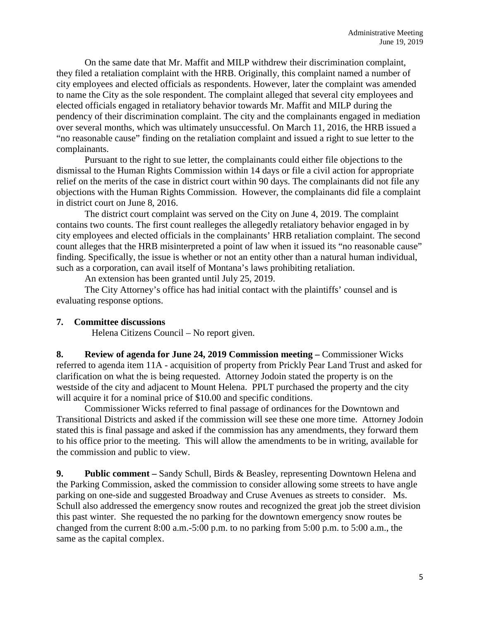On the same date that Mr. Maffit and MILP withdrew their discrimination complaint, they filed a retaliation complaint with the HRB. Originally, this complaint named a number of city employees and elected officials as respondents. However, later the complaint was amended to name the City as the sole respondent. The complaint alleged that several city employees and elected officials engaged in retaliatory behavior towards Mr. Maffit and MILP during the pendency of their discrimination complaint. The city and the complainants engaged in mediation over several months, which was ultimately unsuccessful. On March 11, 2016, the HRB issued a "no reasonable cause" finding on the retaliation complaint and issued a right to sue letter to the complainants.

Pursuant to the right to sue letter, the complainants could either file objections to the dismissal to the Human Rights Commission within 14 days or file a civil action for appropriate relief on the merits of the case in district court within 90 days. The complainants did not file any objections with the Human Rights Commission. However, the complainants did file a complaint in district court on June 8, 2016.

The district court complaint was served on the City on June 4, 2019. The complaint contains two counts. The first count realleges the allegedly retaliatory behavior engaged in by city employees and elected officials in the complainants' HRB retaliation complaint. The second count alleges that the HRB misinterpreted a point of law when it issued its "no reasonable cause" finding. Specifically, the issue is whether or not an entity other than a natural human individual, such as a corporation, can avail itself of Montana's laws prohibiting retaliation.

An extension has been granted until July 25, 2019.

The City Attorney's office has had initial contact with the plaintiffs' counsel and is evaluating response options.

# **7. Committee discussions**

Helena Citizens Council – No report given.

**8. Review of agenda for June 24, 2019 Commission meeting –** Commissioner Wicks referred to agenda item 11A - acquisition of property from Prickly Pear Land Trust and asked for clarification on what the is being requested. Attorney Jodoin stated the property is on the westside of the city and adjacent to Mount Helena. PPLT purchased the property and the city will acquire it for a nominal price of \$10.00 and specific conditions.

Commissioner Wicks referred to final passage of ordinances for the Downtown and Transitional Districts and asked if the commission will see these one more time. Attorney Jodoin stated this is final passage and asked if the commission has any amendments, they forward them to his office prior to the meeting. This will allow the amendments to be in writing, available for the commission and public to view.

**9. Public comment –** Sandy Schull, Birds & Beasley, representing Downtown Helena and the Parking Commission, asked the commission to consider allowing some streets to have angle parking on one-side and suggested Broadway and Cruse Avenues as streets to consider. Ms. Schull also addressed the emergency snow routes and recognized the great job the street division this past winter. She requested the no parking for the downtown emergency snow routes be changed from the current 8:00 a.m.-5:00 p.m. to no parking from 5:00 p.m. to 5:00 a.m., the same as the capital complex.